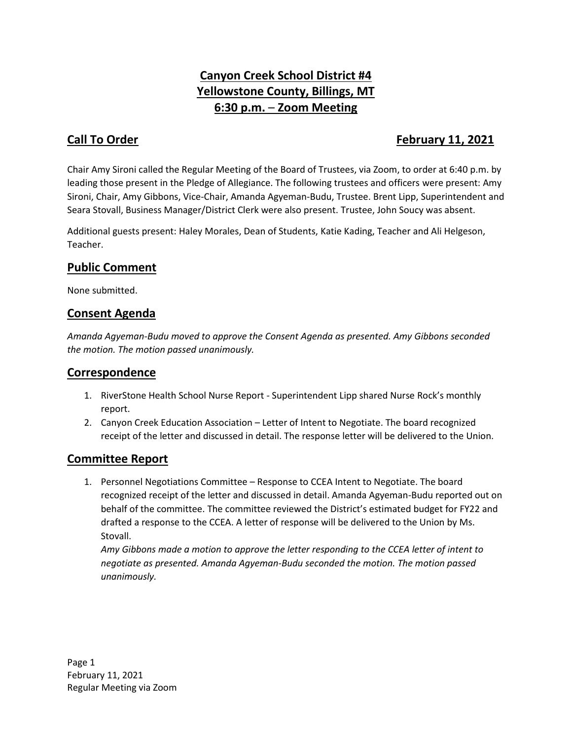# **Canyon Creek School District #4 Yellowstone County, Billings, MT 6:30 p.m.** – **Zoom Meeting**

## **Call To Order February 11, 2021**

Chair Amy Sironi called the Regular Meeting of the Board of Trustees, via Zoom, to order at 6:40 p.m. by leading those present in the Pledge of Allegiance. The following trustees and officers were present: Amy Sironi, Chair, Amy Gibbons, Vice-Chair, Amanda Agyeman-Budu, Trustee. Brent Lipp, Superintendent and Seara Stovall, Business Manager/District Clerk were also present. Trustee, John Soucy was absent.

Additional guests present: Haley Morales, Dean of Students, Katie Kading, Teacher and Ali Helgeson, Teacher.

#### **Public Comment**

None submitted.

### **Consent Agenda**

*Amanda Agyeman-Budu moved to approve the Consent Agenda as presented. Amy Gibbons seconded the motion. The motion passed unanimously.* 

#### **Correspondence**

- 1. RiverStone Health School Nurse Report Superintendent Lipp shared Nurse Rock's monthly report.
- 2. Canyon Creek Education Association Letter of Intent to Negotiate. The board recognized receipt of the letter and discussed in detail. The response letter will be delivered to the Union.

#### **Committee Report**

1. Personnel Negotiations Committee – Response to CCEA Intent to Negotiate. The board recognized receipt of the letter and discussed in detail. Amanda Agyeman-Budu reported out on behalf of the committee. The committee reviewed the District's estimated budget for FY22 and drafted a response to the CCEA. A letter of response will be delivered to the Union by Ms. Stovall.

*Amy Gibbons made a motion to approve the letter responding to the CCEA letter of intent to negotiate as presented. Amanda Agyeman-Budu seconded the motion. The motion passed unanimously.*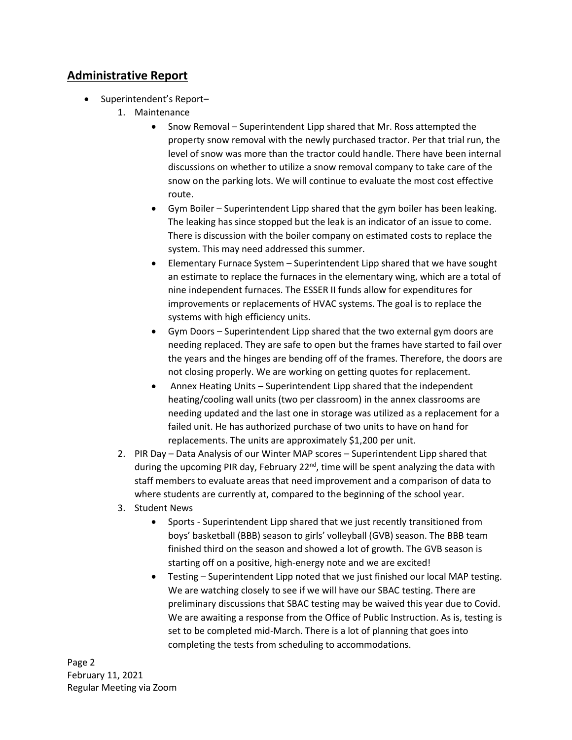## **Administrative Report**

- Superintendent's Report-
	- 1. Maintenance
		- Snow Removal Superintendent Lipp shared that Mr. Ross attempted the property snow removal with the newly purchased tractor. Per that trial run, the level of snow was more than the tractor could handle. There have been internal discussions on whether to utilize a snow removal company to take care of the snow on the parking lots. We will continue to evaluate the most cost effective route.
		- Gym Boiler Superintendent Lipp shared that the gym boiler has been leaking. The leaking has since stopped but the leak is an indicator of an issue to come. There is discussion with the boiler company on estimated costs to replace the system. This may need addressed this summer.
		- Elementary Furnace System Superintendent Lipp shared that we have sought an estimate to replace the furnaces in the elementary wing, which are a total of nine independent furnaces. The ESSER II funds allow for expenditures for improvements or replacements of HVAC systems. The goal is to replace the systems with high efficiency units.
		- Gym Doors Superintendent Lipp shared that the two external gym doors are needing replaced. They are safe to open but the frames have started to fail over the years and the hinges are bending off of the frames. Therefore, the doors are not closing properly. We are working on getting quotes for replacement.
		- Annex Heating Units Superintendent Lipp shared that the independent heating/cooling wall units (two per classroom) in the annex classrooms are needing updated and the last one in storage was utilized as a replacement for a failed unit. He has authorized purchase of two units to have on hand for replacements. The units are approximately \$1,200 per unit.
	- 2. PIR Day Data Analysis of our Winter MAP scores Superintendent Lipp shared that during the upcoming PIR day, February  $22^{nd}$ , time will be spent analyzing the data with staff members to evaluate areas that need improvement and a comparison of data to where students are currently at, compared to the beginning of the school year.
	- 3. Student News
		- Sports Superintendent Lipp shared that we just recently transitioned from boys' basketball (BBB) season to girls' volleyball (GVB) season. The BBB team finished third on the season and showed a lot of growth. The GVB season is starting off on a positive, high-energy note and we are excited!
		- Testing Superintendent Lipp noted that we just finished our local MAP testing. We are watching closely to see if we will have our SBAC testing. There are preliminary discussions that SBAC testing may be waived this year due to Covid. We are awaiting a response from the Office of Public Instruction. As is, testing is set to be completed mid-March. There is a lot of planning that goes into completing the tests from scheduling to accommodations.

Page 2 February 11, 2021 Regular Meeting via Zoom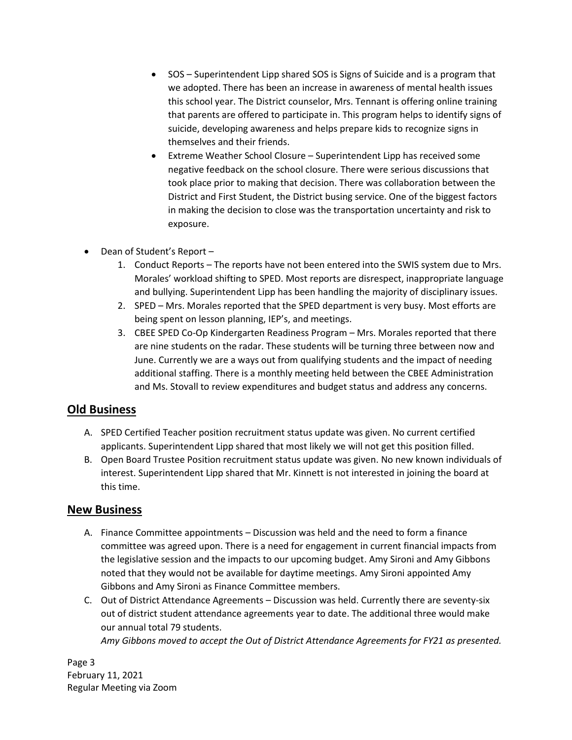- SOS Superintendent Lipp shared SOS is Signs of Suicide and is a program that we adopted. There has been an increase in awareness of mental health issues this school year. The District counselor, Mrs. Tennant is offering online training that parents are offered to participate in. This program helps to identify signs of suicide, developing awareness and helps prepare kids to recognize signs in themselves and their friends.
- Extreme Weather School Closure Superintendent Lipp has received some negative feedback on the school closure. There were serious discussions that took place prior to making that decision. There was collaboration between the District and First Student, the District busing service. One of the biggest factors in making the decision to close was the transportation uncertainty and risk to exposure.
- Dean of Student's Report -
	- 1. Conduct Reports The reports have not been entered into the SWIS system due to Mrs. Morales' workload shifting to SPED. Most reports are disrespect, inappropriate language and bullying. Superintendent Lipp has been handling the majority of disciplinary issues.
	- 2. SPED Mrs. Morales reported that the SPED department is very busy. Most efforts are being spent on lesson planning, IEP's, and meetings.
	- 3. CBEE SPED Co-Op Kindergarten Readiness Program Mrs. Morales reported that there are nine students on the radar. These students will be turning three between now and June. Currently we are a ways out from qualifying students and the impact of needing additional staffing. There is a monthly meeting held between the CBEE Administration and Ms. Stovall to review expenditures and budget status and address any concerns.

#### **Old Business**

- A. SPED Certified Teacher position recruitment status update was given. No current certified applicants. Superintendent Lipp shared that most likely we will not get this position filled.
- B. Open Board Trustee Position recruitment status update was given. No new known individuals of interest. Superintendent Lipp shared that Mr. Kinnett is not interested in joining the board at this time.

#### **New Business**

- A. Finance Committee appointments Discussion was held and the need to form a finance committee was agreed upon. There is a need for engagement in current financial impacts from the legislative session and the impacts to our upcoming budget. Amy Sironi and Amy Gibbons noted that they would not be available for daytime meetings. Amy Sironi appointed Amy Gibbons and Amy Sironi as Finance Committee members.
- C. Out of District Attendance Agreements Discussion was held. Currently there are seventy-six out of district student attendance agreements year to date. The additional three would make our annual total 79 students.

*Amy Gibbons moved to accept the Out of District Attendance Agreements for FY21 as presented.* 

Page 3 February 11, 2021 Regular Meeting via Zoom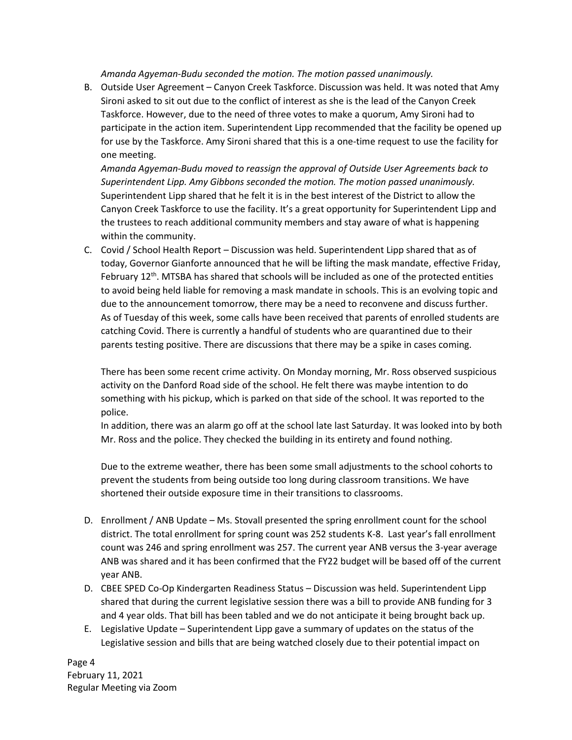*Amanda Agyeman-Budu seconded the motion. The motion passed unanimously.*

B. Outside User Agreement – Canyon Creek Taskforce. Discussion was held. It was noted that Amy Sironi asked to sit out due to the conflict of interest as she is the lead of the Canyon Creek Taskforce. However, due to the need of three votes to make a quorum, Amy Sironi had to participate in the action item. Superintendent Lipp recommended that the facility be opened up for use by the Taskforce. Amy Sironi shared that this is a one-time request to use the facility for one meeting.

*Amanda Agyeman-Budu moved to reassign the approval of Outside User Agreements back to Superintendent Lipp. Amy Gibbons seconded the motion. The motion passed unanimously.* Superintendent Lipp shared that he felt it is in the best interest of the District to allow the Canyon Creek Taskforce to use the facility. It's a great opportunity for Superintendent Lipp and the trustees to reach additional community members and stay aware of what is happening within the community.

C. Covid / School Health Report – Discussion was held. Superintendent Lipp shared that as of today, Governor Gianforte announced that he will be lifting the mask mandate, effective Friday, February 12<sup>th</sup>. MTSBA has shared that schools will be included as one of the protected entities to avoid being held liable for removing a mask mandate in schools. This is an evolving topic and due to the announcement tomorrow, there may be a need to reconvene and discuss further. As of Tuesday of this week, some calls have been received that parents of enrolled students are catching Covid. There is currently a handful of students who are quarantined due to their parents testing positive. There are discussions that there may be a spike in cases coming.

There has been some recent crime activity. On Monday morning, Mr. Ross observed suspicious activity on the Danford Road side of the school. He felt there was maybe intention to do something with his pickup, which is parked on that side of the school. It was reported to the police.

In addition, there was an alarm go off at the school late last Saturday. It was looked into by both Mr. Ross and the police. They checked the building in its entirety and found nothing.

Due to the extreme weather, there has been some small adjustments to the school cohorts to prevent the students from being outside too long during classroom transitions. We have shortened their outside exposure time in their transitions to classrooms.

- D. Enrollment / ANB Update Ms. Stovall presented the spring enrollment count for the school district. The total enrollment for spring count was 252 students K-8. Last year's fall enrollment count was 246 and spring enrollment was 257. The current year ANB versus the 3-year average ANB was shared and it has been confirmed that the FY22 budget will be based off of the current year ANB.
- D. CBEE SPED Co-Op Kindergarten Readiness Status Discussion was held. Superintendent Lipp shared that during the current legislative session there was a bill to provide ANB funding for 3 and 4 year olds. That bill has been tabled and we do not anticipate it being brought back up.
- E. Legislative Update Superintendent Lipp gave a summary of updates on the status of the Legislative session and bills that are being watched closely due to their potential impact on

Page 4 February 11, 2021 Regular Meeting via Zoom